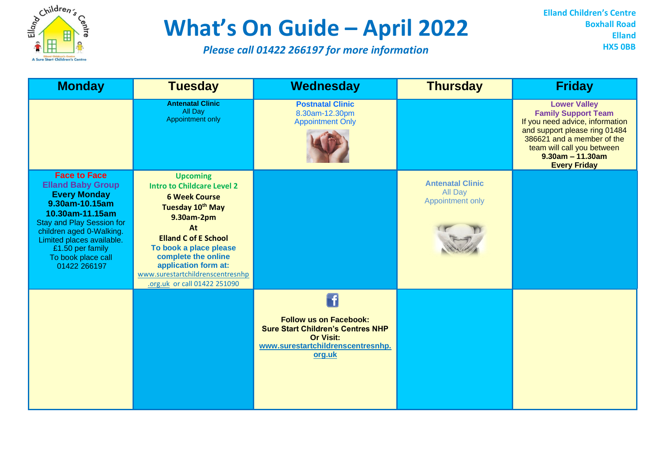

## **What's On Guide – April 2022**

*Please call 01422 266197 for more information*

**Elland Children's Centre Boxhall Road Elland HX5 0BB**

| <b>Monday</b>                                                                                                                                                                                                                                                      | <b>Tuesday</b>                                                                                                                                                                                                                                                                                   | Wednesday                                                                                                                                          | <b>Thursday</b>                                        | <b>Friday</b>                                                                                                                                                                                                                  |
|--------------------------------------------------------------------------------------------------------------------------------------------------------------------------------------------------------------------------------------------------------------------|--------------------------------------------------------------------------------------------------------------------------------------------------------------------------------------------------------------------------------------------------------------------------------------------------|----------------------------------------------------------------------------------------------------------------------------------------------------|--------------------------------------------------------|--------------------------------------------------------------------------------------------------------------------------------------------------------------------------------------------------------------------------------|
|                                                                                                                                                                                                                                                                    | <b>Antenatal Clinic</b><br>All Day<br>Appointment only                                                                                                                                                                                                                                           | <b>Postnatal Clinic</b><br>8.30am-12.30pm<br><b>Appointment Only</b>                                                                               |                                                        | <b>Lower Valley</b><br><b>Family Support Team</b><br>If you need advice, information<br>and support please ring 01484<br>386621 and a member of the<br>team will call you between<br>$9.30am - 11.30am$<br><b>Every Friday</b> |
| <b>Face to Face</b><br><b>Elland Baby Group</b><br><b>Every Monday</b><br>9.30am-10.15am<br>10.30am-11.15am<br><b>Stay and Play Session for</b><br>children aged 0-Walking.<br>Limited places available.<br>£1.50 per family<br>To book place call<br>01422 266197 | <b>Upcoming</b><br><b>Intro to Childcare Level 2</b><br><b>6 Week Course</b><br>Tuesday 10th May<br>9.30am-2pm<br>At<br><b>Elland C of E School</b><br>To book a place please<br>complete the online<br>application form at:<br>www.surestartchildrenscentresnhp<br>.org.uk or call 01422 251090 |                                                                                                                                                    | <b>Antenatal Clinic</b><br>All Day<br>Appointment only |                                                                                                                                                                                                                                |
|                                                                                                                                                                                                                                                                    |                                                                                                                                                                                                                                                                                                  | f.<br><b>Follow us on Facebook:</b><br><b>Sure Start Children's Centres NHP</b><br><b>Or Visit:</b><br>www.surestartchildrenscentresnhp.<br>org.uk |                                                        |                                                                                                                                                                                                                                |